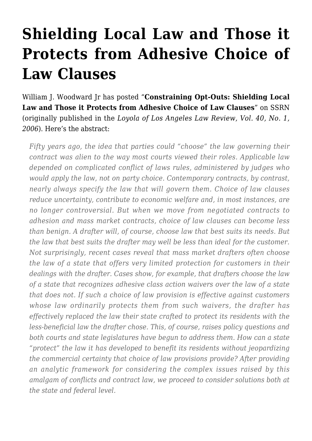## **[Shielding Local Law and Those it](https://conflictoflaws.net/2007/shielding-local-law-and-those-it-protects-from-adhesive-choice-of-law-clauses/) [Protects from Adhesive Choice of](https://conflictoflaws.net/2007/shielding-local-law-and-those-it-protects-from-adhesive-choice-of-law-clauses/) [Law Clauses](https://conflictoflaws.net/2007/shielding-local-law-and-those-it-protects-from-adhesive-choice-of-law-clauses/)**

[William J. Woodward Jr](http://www.law.temple.edu/servlet/RetrievePage?site=TempleLaw&page=Faculty_Woodward) has posted "**Constraining Opt-Outs: Shielding Local Law and Those it Protects from Adhesive Choice of Law Clauses**" on SSRN (originally published in the *Loyola of Los Angeles Law Review, Vol. 40, No. 1, 2006*). Here's the abstract:

*Fifty years ago, the idea that parties could "choose" the law governing their contract was alien to the way most courts viewed their roles. Applicable law depended on complicated conflict of laws rules, administered by judges who would apply the law, not on party choice. Contemporary contracts, by contrast, nearly always specify the law that will govern them. Choice of law clauses reduce uncertainty, contribute to economic welfare and, in most instances, are no longer controversial. But when we move from negotiated contracts to adhesion and mass market contracts, choice of law clauses can become less than benign. A drafter will, of course, choose law that best suits its needs. But the law that best suits the drafter may well be less than ideal for the customer. Not surprisingly, recent cases reveal that mass market drafters often choose the law of a state that offers very limited protection for customers in their dealings with the drafter. Cases show, for example, that drafters choose the law of a state that recognizes adhesive class action waivers over the law of a state that does not. If such a choice of law provision is effective against customers whose law ordinarily protects them from such waivers, the drafter has effectively replaced the law their state crafted to protect its residents with the less-beneficial law the drafter chose. This, of course, raises policy questions and both courts and state legislatures have begun to address them. How can a state "protect" the law it has developed to benefit its residents without jeopardizing the commercial certainty that choice of law provisions provide? After providing an analytic framework for considering the complex issues raised by this amalgam of conflicts and contract law, we proceed to consider solutions both at the state and federal level.*